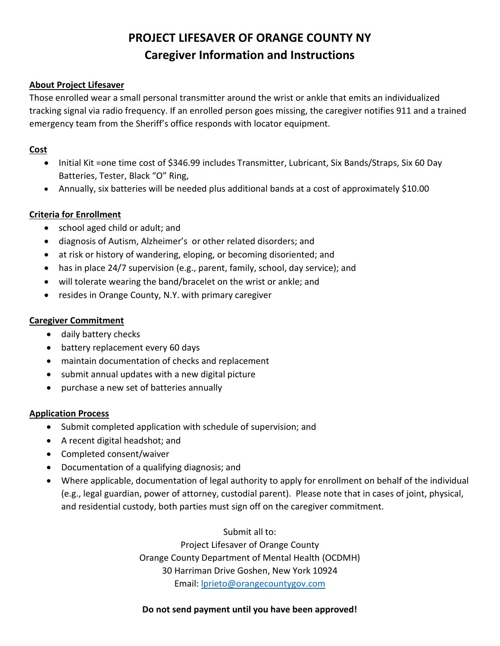# **PROJECT LIFESAVER OF ORANGE COUNTY NY Caregiver Information and Instructions**

#### **About Project Lifesaver**

Those enrolled wear a small personal transmitter around the wrist or ankle that emits an individualized tracking signal via radio frequency. If an enrolled person goes missing, the caregiver notifies 911 and a trained emergency team from the Sheriff's office responds with locator equipment.

#### **Cost**

- Initial Kit =one time cost of \$346.99 includes Transmitter, Lubricant, Six Bands/Straps, Six 60 Day Batteries, Tester, Black "O" Ring,
- Annually, six batteries will be needed plus additional bands at a cost of approximately \$10.00

### **Criteria for Enrollment**

- school aged child or adult; and
- diagnosis of Autism, Alzheimer's or other related disorders; and
- at risk or history of wandering, eloping, or becoming disoriented; and
- has in place 24/7 supervision (e.g., parent, family, school, day service); and
- will tolerate wearing the band/bracelet on the wrist or ankle; and
- resides in Orange County, N.Y. with primary caregiver

#### **Caregiver Commitment**

- daily battery checks
- battery replacement every 60 days
- maintain documentation of checks and replacement
- submit annual updates with a new digital picture
- purchase a new set of batteries annually

#### **Application Process**

- Submit completed application with schedule of supervision; and
- A recent digital headshot; and
- Completed consent/waiver
- Documentation of a qualifying diagnosis; and
- Where applicable, documentation of legal authority to apply for enrollment on behalf of the individual (e.g., legal guardian, power of attorney, custodial parent). Please note that in cases of joint, physical, and residential custody, both parties must sign off on the caregiver commitment.

Submit all to:

Project Lifesaver of Orange County Orange County Department of Mental Health (OCDMH) 30 Harriman Drive Goshen, New York 10924 Email: [lprieto@orangecountygov.com](mailto:lprieto@orangecountygov.com)

#### **Do not send payment until you have been approved!**